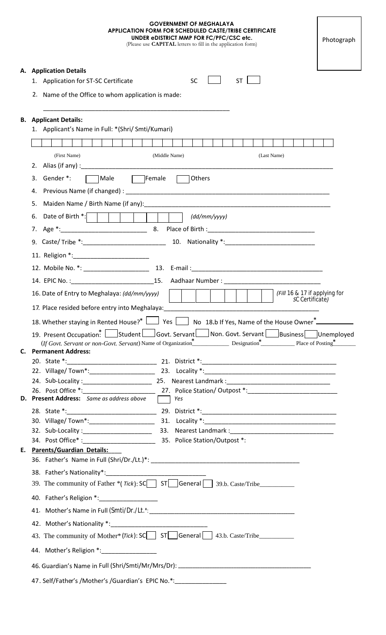| <b>GOVERNMENT OF MEGHALAYA</b><br><b>APPLICATION FORM FOR SCHEDULED CASTE/TRIBE CERTIFICATE</b><br>UNDER eDISTRICT MMP FOR FC/PFC/CSC etc.<br>(Please use <b>CAPITAL</b> letters to fill in the application form) | Photograph |  |
|-------------------------------------------------------------------------------------------------------------------------------------------------------------------------------------------------------------------|------------|--|
| A. Application Details                                                                                                                                                                                            |            |  |
| ST<br><b>SC</b><br>1. Application for ST-SC Certificate                                                                                                                                                           |            |  |
| 2. Name of the Office to whom application is made:                                                                                                                                                                |            |  |
|                                                                                                                                                                                                                   |            |  |
| <b>B.</b> Applicant Details:<br>1. Applicant's Name in Full: *(Shri/ Smti/Kumari)                                                                                                                                 |            |  |
|                                                                                                                                                                                                                   |            |  |
|                                                                                                                                                                                                                   |            |  |
| (First Name)<br>(Middle Name)<br>(Last Name)                                                                                                                                                                      |            |  |
| 2.                                                                                                                                                                                                                |            |  |
| $\Box$ Female<br>3.<br>Gender *:<br>√Male<br>Others                                                                                                                                                               |            |  |
| 4.                                                                                                                                                                                                                |            |  |
| 5.                                                                                                                                                                                                                |            |  |
| $\frac{dd}{m}$ (dd/mm/yyyy)                                                                                                                                                                                       |            |  |
|                                                                                                                                                                                                                   |            |  |
| 9. Caste/Tribe *: 10. Nationality *: 20. Caste/Tribe *:                                                                                                                                                           |            |  |
|                                                                                                                                                                                                                   |            |  |
|                                                                                                                                                                                                                   |            |  |
|                                                                                                                                                                                                                   |            |  |
|                                                                                                                                                                                                                   |            |  |
| (Fill 16 & 17 if applying for<br>16. Date of Entry to Meghalaya: (dd/mm/yyyy)<br><i>S</i> C Certificate)                                                                                                          |            |  |
|                                                                                                                                                                                                                   |            |  |
| 18. Whether staying in Rented House?* 1 Yes No 18.b If Yes, Name of the House Owner                                                                                                                               |            |  |
| 19. Present Occupation: Student Govt. Servant Non. Govt. Servant Business Unemployed                                                                                                                              |            |  |
| (If Govt. Servant or non-Govt. Servant) Name of Organization* Designation* Place of Posting*<br>C. Permanent Address:                                                                                             |            |  |
|                                                                                                                                                                                                                   |            |  |
|                                                                                                                                                                                                                   |            |  |
| 24. Sub-Locality: 2000 25. Nearest Landmark: 2000 24. Sub-Locality:                                                                                                                                               |            |  |
|                                                                                                                                                                                                                   |            |  |
| D. Present Address: Same as address above Tables                                                                                                                                                                  |            |  |
|                                                                                                                                                                                                                   |            |  |
|                                                                                                                                                                                                                   |            |  |
|                                                                                                                                                                                                                   |            |  |
| E. Parents/Guardian Details:                                                                                                                                                                                      |            |  |
|                                                                                                                                                                                                                   |            |  |
|                                                                                                                                                                                                                   |            |  |
| 39. The community of Father *(Tick): SC ST General 39.b. Caste/Tribe                                                                                                                                              |            |  |
| 40. Father's Religion *: ___________________                                                                                                                                                                      |            |  |
| 41. Mother's Name in Full (Smti/Dr./Lt.*:                                                                                                                                                                         |            |  |
|                                                                                                                                                                                                                   |            |  |
| 43. The community of Mother* (Tick): SC ST General 43.b. Caste/Tribe                                                                                                                                              |            |  |
|                                                                                                                                                                                                                   |            |  |
| 44. Mother's Religion *:                                                                                                                                                                                          |            |  |
|                                                                                                                                                                                                                   |            |  |
| 47. Self/Father's /Mother's /Guardian's EPIC No.*:                                                                                                                                                                |            |  |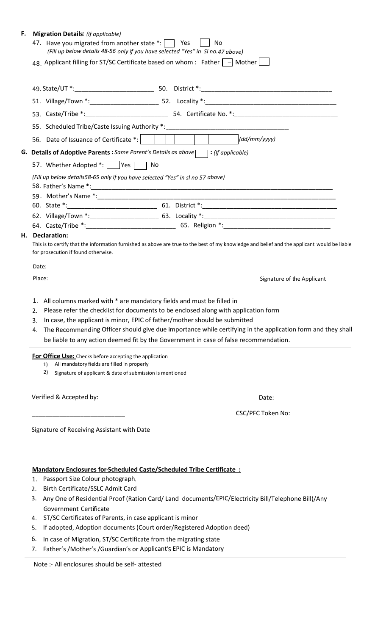| F. | <b>Migration Details:</b> (If applicable)                                                                                                                                           |                                                                                                                                                                                               |  |  |
|----|-------------------------------------------------------------------------------------------------------------------------------------------------------------------------------------|-----------------------------------------------------------------------------------------------------------------------------------------------------------------------------------------------|--|--|
|    |                                                                                                                                                                                     | 47. Have you migrated from another state $\overline{\cdot}$ : $\overline{\cdot}$ Yes $\overline{\cdot}$ No<br>(Fill up below details 48-56 only if you have selected "Yes" in SI no.47 above) |  |  |
|    |                                                                                                                                                                                     | 48. Applicant filling for ST/SC Certificate based on whom : Father $\boxed{-}$ Mother $\boxed{-}$                                                                                             |  |  |
|    |                                                                                                                                                                                     |                                                                                                                                                                                               |  |  |
|    |                                                                                                                                                                                     |                                                                                                                                                                                               |  |  |
|    |                                                                                                                                                                                     |                                                                                                                                                                                               |  |  |
|    |                                                                                                                                                                                     |                                                                                                                                                                                               |  |  |
|    |                                                                                                                                                                                     | 55. Scheduled Tribe/Caste Issuing Authority *: _________________________________                                                                                                              |  |  |
|    |                                                                                                                                                                                     | (dd/mm/yyyy)                                                                                                                                                                                  |  |  |
|    | G. Details of Adoptive Parents : Same Parent's Details as above [1] : (If applicable)                                                                                               |                                                                                                                                                                                               |  |  |
|    | 57. Whether Adopted *: Yes                                                                                                                                                          |                                                                                                                                                                                               |  |  |
|    | (Fill up below details58-65 only if you have selected "Yes" in sl no 57 above)                                                                                                      |                                                                                                                                                                                               |  |  |
|    |                                                                                                                                                                                     |                                                                                                                                                                                               |  |  |
|    |                                                                                                                                                                                     |                                                                                                                                                                                               |  |  |
|    |                                                                                                                                                                                     |                                                                                                                                                                                               |  |  |
|    |                                                                                                                                                                                     |                                                                                                                                                                                               |  |  |
| Н. | <b>Declaration:</b>                                                                                                                                                                 |                                                                                                                                                                                               |  |  |
|    | This is to certify that the information furnished as above are true to the best of my knowledge and belief and the applicant would be liable<br>for prosecution if found otherwise. |                                                                                                                                                                                               |  |  |
|    | Date:                                                                                                                                                                               |                                                                                                                                                                                               |  |  |
|    | Place:                                                                                                                                                                              | Signature of the Applicant                                                                                                                                                                    |  |  |
|    |                                                                                                                                                                                     | 1. All columns marked with * are mandatory fields and must be filled in                                                                                                                       |  |  |
|    | 2.                                                                                                                                                                                  | Please refer the checklist for documents to be enclosed along with application form                                                                                                           |  |  |
|    | 3.                                                                                                                                                                                  | In case, the applicant is minor, EPIC of father/mother should be submitted                                                                                                                    |  |  |
|    | 4.                                                                                                                                                                                  | The Recommending Officer should give due importance while certifying in the application form and they shall                                                                                   |  |  |
|    |                                                                                                                                                                                     | be liable to any action deemed fit by the Government in case of false recommendation.                                                                                                         |  |  |

**For Office Use:** Checks before accepting the application

- 1) All mandatory fields are filled in properly
	- 2) Signature of applicant & date of submission is mentioned

Verified & Accepted by: Date:

\_\_\_\_\_\_\_\_\_\_\_\_\_\_\_\_\_\_\_\_\_\_\_\_\_\_\_ CSC/PFC Token No:

Signature of Receiving Assistant with Date

## **Mandatory Enclosures for-Scheduled Caste/Scheduled Tribe Certificate :**

1. Passport Size Colour photograph.

- 2. Birth Certificate/SSLC Admit Card
- 3. Any One of Residential Proof (Ration Card/ Land documents/EPIC/Electricity Bill/Telephone Bill)/Any Government Certificate
- 4. ST/SC Certificates of Parents, in case applicant is minor
- 5. If adopted, Adoption documents (Court order/Registered Adoption deed)
- 6. In case of Migration, ST/SC Certificate from the migrating state
- 7. Father's /Mother's /Guardian's or Applicant's EPIC is Mandatory

Note :- All enclosures should be self- attested